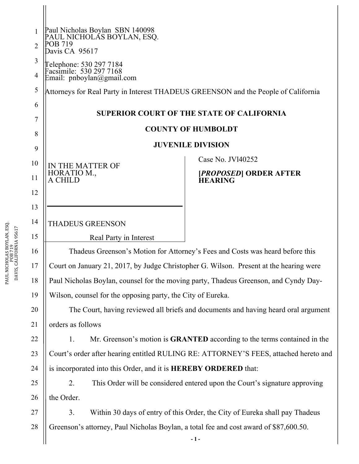| $\mathbf{1}$   | Paul Nicholas Boylan SBN 140098<br>PAUL NICHOLAS BOYLAN, ESQ.                                 |                                                                                 |
|----------------|-----------------------------------------------------------------------------------------------|---------------------------------------------------------------------------------|
| $\overline{2}$ | POB 719<br>Davis CA 95617                                                                     |                                                                                 |
| 3              |                                                                                               |                                                                                 |
| $\overline{4}$ | Telephone: 530 297 7184<br>Facsimile: 530 297 7168<br>Email: pnboylan@gmail.com               |                                                                                 |
| 5              | Attorneys for Real Party in Interest THADEUS GREENSON and the People of California            |                                                                                 |
| 6              |                                                                                               |                                                                                 |
| 7              | <b>SUPERIOR COURT OF THE STATE OF CALIFORNIA</b>                                              |                                                                                 |
| 8              | <b>COUNTY OF HUMBOLDT</b>                                                                     |                                                                                 |
| 9              |                                                                                               | <b>JUVENILE DIVISION</b>                                                        |
| 10             | IN THE MATTER OF                                                                              | Case No. JV140252                                                               |
| 11             | HORATIO M.,<br>A CHILD                                                                        | <i><b>[PROPOSED] ORDER AFTER</b></i><br><b>HEARING</b>                          |
| 12             |                                                                                               |                                                                                 |
| 13             |                                                                                               |                                                                                 |
| 14             | <b>THADEUS GREENSON</b>                                                                       |                                                                                 |
| 15             | Real Party in Interest                                                                        |                                                                                 |
| 16             | Thadeus Greenson's Motion for Attorney's Fees and Costs was heard before this                 |                                                                                 |
| 17             | Court on January 21, 2017, by Judge Christopher G. Wilson. Present at the hearing were        |                                                                                 |
| 18             | Paul Nicholas Boylan, counsel for the moving party, Thadeus Greenson, and Cyndy Day-          |                                                                                 |
| 19             | Wilson, counsel for the opposing party, the City of Eureka.                                   |                                                                                 |
| 20             | The Court, having reviewed all briefs and documents and having heard oral argument            |                                                                                 |
| 21             | orders as follows                                                                             |                                                                                 |
| 22             | 1.                                                                                            | Mr. Greenson's motion is <b>GRANTED</b> according to the terms contained in the |
| 23             | Court's order after hearing entitled RULING RE: ATTORNEY'S FEES, attached hereto and          |                                                                                 |
| 24             | is incorporated into this Order, and it is HEREBY ORDERED that:                               |                                                                                 |
| 25             | This Order will be considered entered upon the Court's signature approving<br>2.              |                                                                                 |
| 26             | the Order.                                                                                    |                                                                                 |
| 27             | Within 30 days of entry of this Order, the City of Eureka shall pay Thadeus<br>3 <sub>1</sub> |                                                                                 |
| 28             | Greenson's attorney, Paul Nicholas Boylan, a total fee and cost award of \$87,600.50.         |                                                                                 |
|                |                                                                                               | $-1-$                                                                           |

PAUL NICHOLAS BOYLAN, ESQ. PAUL NICHOLAS BOYLAN, ESQ.<br>POB 719<br>DAVIS, CALIFORNIA 95617 DAVIS, CALIFORNIA 95617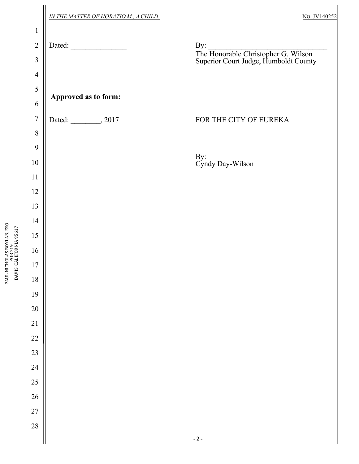|                                  | IN THE MATTER OF HORATIO M., A CHILD. | No. JV140252                                                                                        |
|----------------------------------|---------------------------------------|-----------------------------------------------------------------------------------------------------|
| $\mathbf{1}$                     |                                       |                                                                                                     |
| $\overline{2}$<br>$\mathfrak{Z}$ | Dated:                                | By: $\qquad \qquad$<br>The Honorable Christopher G. Wilson<br>Superior Court Judge, Humboldt County |
| $\overline{4}$                   |                                       |                                                                                                     |
| 5                                | Approved as to form:                  |                                                                                                     |
| 6                                |                                       |                                                                                                     |
| $\overline{7}$                   | Dated: __________, 2017               | FOR THE CITY OF EUREKA                                                                              |
| 8                                |                                       |                                                                                                     |
| 9                                |                                       |                                                                                                     |
| $10\,$                           |                                       | By:<br>Cyndy Day-Wilson                                                                             |
| 11                               |                                       |                                                                                                     |
| 12                               |                                       |                                                                                                     |
| 13                               |                                       |                                                                                                     |
| 14                               |                                       |                                                                                                     |
| 15                               |                                       |                                                                                                     |
| 16                               |                                       |                                                                                                     |
| $17\,$                           |                                       |                                                                                                     |
| $18\,$                           |                                       |                                                                                                     |
| 19                               |                                       |                                                                                                     |
| $20\,$                           |                                       |                                                                                                     |
| $21\,$                           |                                       |                                                                                                     |
| $22\,$                           |                                       |                                                                                                     |
| 23                               |                                       |                                                                                                     |
| 24<br>25                         |                                       |                                                                                                     |
| 26                               |                                       |                                                                                                     |
| $27\,$                           |                                       |                                                                                                     |
| 28                               |                                       |                                                                                                     |
|                                  |                                       | $\sim 2$ –                                                                                          |

PAUL NICHOLAS BOYLAN, ESQ. PAUL NICHOLAS BOYLAN, ESQ.<br>POB 719<br>DAVIS, CALIFORNIA 95617 DAVIS, CALIFORNIA 95617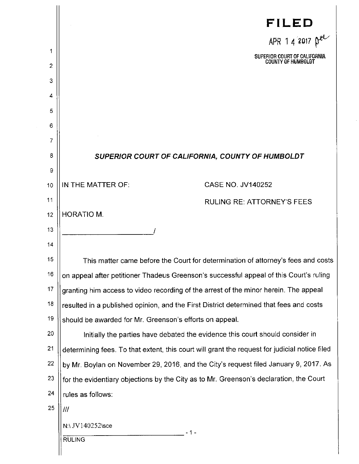| 1  | FILED<br>APR 1 4 2017 $\beta$ <sup>el</sup><br>SUPERIOR COURT OF CALIFORNIA                   |
|----|-----------------------------------------------------------------------------------------------|
| 2  | COUNTY OF HUMBOLDT                                                                            |
| 3  |                                                                                               |
| 4  |                                                                                               |
| 5  |                                                                                               |
| 6  |                                                                                               |
| 7  |                                                                                               |
| 8  | SUPERIOR COURT OF CALIFORNIA, COUNTY OF HUMBOLDT                                              |
| 9  |                                                                                               |
| 10 | <b>CASE NO. JV140252</b><br>IN THE MATTER OF:                                                 |
| 11 | <b>RULING RE: ATTORNEY'S FEES</b>                                                             |
| 12 | <b>HORATIO M.</b>                                                                             |
| 13 |                                                                                               |
| 14 |                                                                                               |
| 15 | This matter came before the Court for determination of attorney's fees and costs              |
| 16 | on appeal after petitioner Thadeus Greenson's successful appeal of this Court's ruling        |
| 17 | granting him access to video recording of the arrest of the minor herein. The appeal          |
| 18 | resulted in a published opinion, and the First District determined that fees and costs        |
| 19 | should be awarded for Mr. Greenson's efforts on appeal.                                       |
| 20 | Initially the parties have debated the evidence this court should consider in                 |
| 21 | determining fees. To that extent, this court will grant the request for judicial notice filed |
| 22 | by Mr. Boylan on November 29, 2016, and the City's request filed January 9, 2017. As          |
| 23 | for the evidentiary objections by the City as to Mr. Greenson's declaration, the Court        |
| 24 | rules as follows:                                                                             |
| 25 | ///                                                                                           |
|    | N:\ JV140252\sce<br>- 1 -<br><b>RULING</b>                                                    |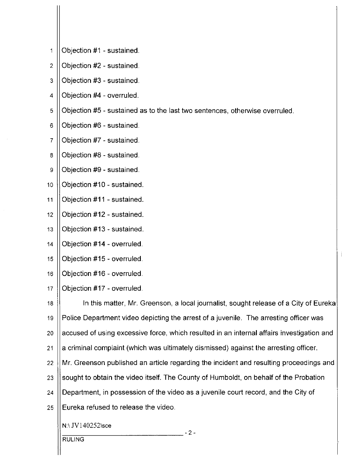- Objection #1 sustained. 1
- Objection #2 sustained.  $\overline{2}$
- Objection #3 sustained. 3
- Objection #4 overruled.  $\overline{4}$
- Objection #5 sustained as to the last two sentences, otherwise overruled. 5
- 6 Objection #6 - sustained.
- Objection #7 sustained.  $\overline{7}$
- Objection #8 sustained. 8
- Objection #9 sustained. 9
- 10 Objection #10 - sustained.
- $11$ Objection #11 - sustained.
- Objection #12 sustained.  $12$
- Objection #13 sustained.  $13$
- $14$ Objection #14 - overruled.
- Objection #15 overruled. 15
- Objection #16 overruled.  $16$
- Objection #17 overruled.  $17$
- In this matter, Mr. Greenson, a local journalist, sought release of a City of Eureka  $18<sup>1</sup>$ 19 Police Department video depicting the arrest of a juvenile. The arresting officer was accused of using excessive force, which resulted in an internal affairs investigation and 20 a criminal complaint (which was ultimately dismissed) against the arresting officer.  $21$ 22 Mr. Greenson published an article regarding the incident and resulting proceedings and sought to obtain the video itself. The County of Humboldt, on behalf of the Probation 23 Department, in possession of the video as a juvenile court record, and the City of 24 Eureka refused to release the video. 25
	- N:\ JV140252\sce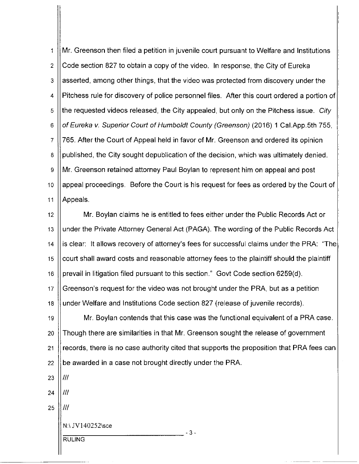Mr. Greenson then filed a petition in juvenile court pursuant to Welfare and Institutions  $\mathbf{1}$ Code section 827 to obtain a copy of the video. In response, the City of Eureka  $\overline{2}$ asserted, among other things, that the video was protected from discovery under the 3 Pitchess rule for discovery of police personnel files. After this court ordered a portion of 4 the requested videos released, the City appealed, but only on the Pitchess issue. City 5 6 of Eureka v. Superior Court of Humboldt County (Greenson) (2016) 1 Cal.App.5th 755, 765. After the Court of Appeal held in favor of Mr. Greenson and ordered its opinion  $\overline{7}$ published, the City sought depublication of the decision, which was ultimately denied. 8 Mr. Greenson retained attorney Paul Boylan to represent him on appeal and post 9 appeal proceedings. Before the Court is his request for fees as ordered by the Court of  $10$  $11$ Appeals.

Mr. Boylan claims he is entitled to fees either under the Public Records Act or  $12<sup>2</sup>$ 13 under the Private Attorney General Act (PAGA). The wording of the Public Records Act  $14$ is clear: It allows recovery of attorney's fees for successful claims under the PRA: "The court shall award costs and reasonable attorney fees to the plaintiff should the plaintiff 15 prevail in litigation filed pursuant to this section." Govt Code section 6259(d). 16 Greenson's request for the video was not brought under the PRA, but as a petition  $17$ 18 under Welfare and Institutions Code section 827 (release of juvenile records). Mr. Boylan contends that this case was the functional equivalent of a PRA case. 19 Though there are similarities in that Mr. Greenson sought the release of government 20 records, there is no case authority cited that supports the proposition that PRA fees can 21 be awarded in a case not brought directly under the PRA. 22  $III$ 23  $III$ 24

 $-3-$ 

 $III$ 25

N:\ JV140252\sce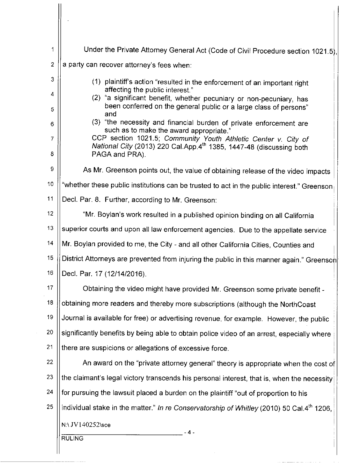| 1                   | Under the Private Attorney General Act (Code of Civil Procedure section 1021.5),                                                                                                                               |  |
|---------------------|----------------------------------------------------------------------------------------------------------------------------------------------------------------------------------------------------------------|--|
| $\overline{2}$      | a party can recover attorney's fees when:                                                                                                                                                                      |  |
| 3                   | (1) plaintiff's action "resulted in the enforcement of an important right                                                                                                                                      |  |
| 4<br>5              | affecting the public interest."<br>(2) "a significant benefit, whether pecuniary or non-pecuniary, has<br>been conferred on the general public or a large class of persons"                                    |  |
| 6                   | and<br>(3) "the necessity and financial burden of private enforcement are                                                                                                                                      |  |
| $\overline{7}$<br>8 | such as to make the award appropriate."<br>CCP section 1021.5; Community Youth Athletic Center v. City of<br>National City (2013) 220 Cal App 4 <sup>th</sup> 1385, 1447-48 (discussing both<br>PAGA and PRA). |  |
| 9                   | As Mr. Greenson points out, the value of obtaining release of the video impacts                                                                                                                                |  |
| 10                  | "whether these public institutions can be trusted to act in the public interest." Greenson                                                                                                                     |  |
| 11                  | Decl. Par. 8. Further, according to Mr. Greenson:                                                                                                                                                              |  |
| 12                  | "Mr. Boylan's work resulted in a published opinion binding on all California                                                                                                                                   |  |
| 13                  | superior courts and upon all law enforcement agencies. Due to the appellate service                                                                                                                            |  |
| 14                  | Mr. Boylan provided to me, the City - and all other California Cities, Counties and                                                                                                                            |  |
| 15                  | District Attorneys are prevented from injuring the public in this manner again." Greensoh                                                                                                                      |  |
| 16                  | Decl. Par. 17 (12/14/2016).                                                                                                                                                                                    |  |
| 17                  | Obtaining the video might have provided Mr. Greenson some private benefit -                                                                                                                                    |  |
| 18                  | obtaining more readers and thereby more subscriptions (although the NorthCoast                                                                                                                                 |  |
| 19                  | Journal is available for free) or advertising revenue, for example. However, the public                                                                                                                        |  |
| 20                  | significantly benefits by being able to obtain police video of an arrest, especially where                                                                                                                     |  |
| 21                  | there are suspicions or allegations of excessive force.                                                                                                                                                        |  |
| 22                  | An award on the "private attorney general" theory is appropriate when the cost of                                                                                                                              |  |
| 23                  | the claimant's legal victory transcends his personal interest, that is, when the necessity                                                                                                                     |  |
| 24                  | for pursuing the lawsuit placed a burden on the plaintiff "out of proportion to his                                                                                                                            |  |
| 25                  | individual stake in the matter." In re Conservatorship of Whitley (2010) 50 Cal.4th 1206,                                                                                                                      |  |
|                     | N:\ JV140252\sce<br>-4-<br><b>RULING</b>                                                                                                                                                                       |  |

 $\hat{\mathcal{L}}$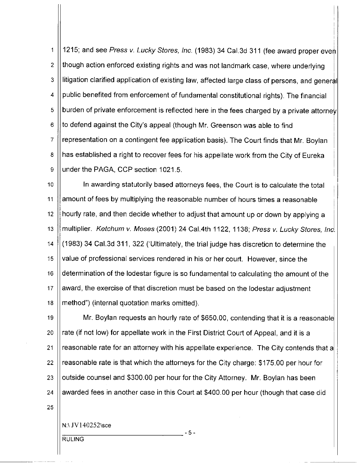1215; and see Press v. Lucky Stores, Inc. (1983) 34 Cal.3d 311 (fee award proper even  $\overline{1}$  $\overline{2}$ though action enforced existing rights and was not landmark case, where underlying litigation clarified application of existing law, affected large class of persons, and general 3 public benefited from enforcement of fundamental constitutional rights). The financial 4 burden of private enforcement is reflected here in the fees charged by a private attorney 5 to defend against the City's appeal (though Mr. Greenson was able to find 6  $\overline{7}$ representation on a contingent fee application basis). The Court finds that Mr. Boylan 8 has established a right to recover fees for his appellate work from the City of Eureka  $\mathbf{S}$ under the PAGA, CCP section 1021.5.

10 In awarding statutorily based attorneys fees, the Court is to calculate the total 11 amount of fees by multiplying the reasonable number of hours times a reasonable  $12$ hourly rate, and then decide whether to adjust that amount up or down by applying a  $13$ multiplier. Ketchum v. Moses (2001) 24 Cal.4th 1122, 1138; Press v. Lucky Stores, Inc. (1983) 34 Cal.3d 311, 322 ('Ultimately, the trial judge has discretion to determine the  $14$ 15 value of professional services rendered in his or her court. However, since the determination of the lodestar figure is so fundamental to calculating the amount of the 16  $17$ award, the exercise of that discretion must be based on the lodestar adjustment 18 method") (internal quotation marks omitted).

19 Mr. Boylan requests an hourly rate of \$650.00, contending that it is a reasonable 20 rate (if not low) for appellate work in the First District Court of Appeal, and it is a 21 reasonable rate for an attorney with his appellate experience. The City contends that a 22 reasonable rate is that which the attorneys for the City charge: \$175.00 per hour for 23 outside counsel and \$300.00 per hour for the City Attorney. Mr. Boylan has been 24 awarded fees in another case in this Court at \$400.00 per hour (though that case did

 $-5-$ 

25

N:\ JV140252\sce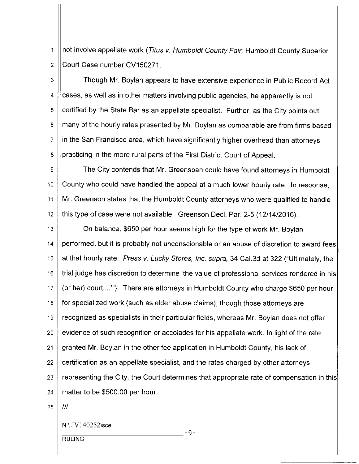not involve appellate work (Titus v. Humboldt County Fair, Humboldt County Superior  $\mathbf 1$  $\overline{2}$ Court Case number CV150271.

Though Mr. Boylan appears to have extensive experience in Public Record Act 3 cases, as well as in other matters involving public agencies, he apparently is not  $\overline{\mathbf{4}}$ certified by the State Bar as an appellate specialist. Further, as the City points out, 5 6 many of the hourly rates presented by Mr. Boylan as comparable are from firms based  $\overline{7}$ in the San Francisco area, which have significantly higher overhead than attorneys practicing in the more rural parts of the First District Court of Appeal. 8

 $\Omega$ The City contends that Mr. Greenspan could have found attorneys in Humboldt County who could have handled the appeal at a much lower hourly rate. In response, 10 11 Mr. Greenson states that the Humboldt County attorneys who were qualified to handle  $12$ this type of case were not available. Greenson Decl. Par. 2-5 (12/14/2016).

 $13<sup>°</sup>$ On balance, \$650 per hour seems high for the type of work Mr. Boylan performed, but it is probably not unconscionable or an abuse of discretion to award fees  $14$ 15 at that hourly rate. Press v. Lucky Stores, Inc. supra, 34 Cal.3d at 322 ("Ultimately, the  $16$ trial judge has discretion to determine 'the value of professional services rendered in his  $17$ (or her) court....""). There are attorneys in Humboldt County who charge \$650 per hour 18 for specialized work (such as elder abuse claims), though those attorneys are 19 recognized as specialists in their particular fields, whereas Mr. Boylan does not offer evidence of such recognition or accolades for his appellate work. In light of the rate 20  $21$ granted Mr. Boylan in the other fee application in Humboldt County, his lack of 22 certification as an appellate specialist, and the rates charged by other attorneys 23 representing the City, the Court determines that appropriate rate of compensation in this matter to be \$500.00 per hour. 24

 $-6-$ 

25  $III$ 

N:\ JV140252\sce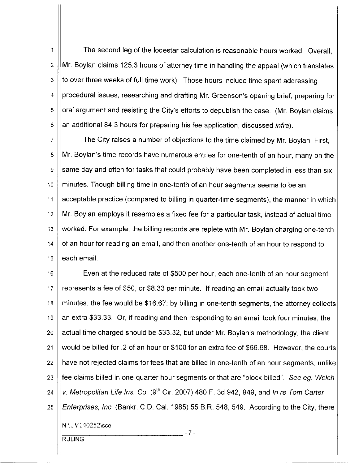The second leg of the lodestar calculation is reasonable hours worked. Overall,  $\mathbf 1$  $\overline{2}$ Mr. Boylan claims 125.3 hours of attorney time in handling the appeal (which translates 3 to over three weeks of full time work). Those hours include time spent addressing procedural issues, researching and drafting Mr. Greenson's opening brief, preparing for 4 oral argument and resisting the City's efforts to depublish the case. (Mr. Boylan claims) 5 6 an additional 84.3 hours for preparing his fee application, discussed *infra*).

 $\overline{7}$ The City raises a number of objections to the time claimed by Mr. Boylan. First, Mr. Boylan's time records have numerous entries for one-tenth of an hour, many on the 8 same day and often for tasks that could probably have been completed in less than six 9 10 minutes. Though billing time in one-tenth of an hour segments seems to be an  $11$ acceptable practice (compared to billing in quarter-time segments), the manner in which  $12$ Mr. Boylan employs it resembles a fixed fee for a particular task, instead of actual time  $13$ worked. For example, the billing records are replete with Mr. Boylan charging one-tenth of an hour for reading an email, and then another one-tenth of an hour to respond to 14 each email. 15

16 Even at the reduced rate of \$500 per hour, each one-tenth of an hour segment represents a fee of \$50, or \$8.33 per minute. If reading an email actually took two  $17$ 18 minutes, the fee would be \$16.67; by billing in one-tenth segments, the attorney collects 19 an extra \$33.33. Or, if reading and then responding to an email took four minutes, the actual time charged should be \$33.32, but under Mr. Boylan's methodology, the client 20 21 would be billed for .2 of an hour or \$100 for an extra fee of \$66.68. However, the courts 22 have not rejected claims for fees that are billed in one-tenth of an hour segments, unlike fee claims billed in one-quarter hour segments or that are "block billed". See eg. Welch 23 v. Metropolitan Life Ins. Co. (9<sup>th</sup> Cir. 2007) 480 F. 3d 942, 949, and In re Tom Carter 24 Enterprises, Inc. (Bankr. C.D. Cal. 1985) 55 B.R. 548, 549. According to the City, there 25 N:\ JV140252\sce  $-7 -$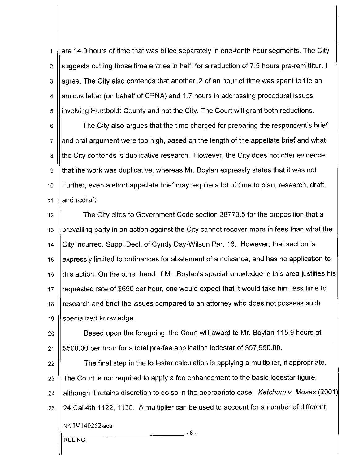are 14.9 hours of time that was billed separately in one-tenth hour segments. The City  $\mathbf{1}$ suggests cutting those time entries in half, for a reduction of 7.5 hours pre-remittitur. I  $\overline{2}$ agree. The City also contends that another .2 of an hour of time was spent to file an 3 amicus letter (on behalf of CPNA) and 1.7 hours in addressing procedural issues  $\overline{4}$ involving Humboldt County and not the City. The Court will grant both reductions. 5

The City also argues that the time charged for preparing the respondent's brief 6 and oral argument were too high, based on the length of the appellate brief and what  $\overline{7}$ the City contends is duplicative research. However, the City does not offer evidence 8 that the work was duplicative, whereas Mr. Boylan expressly states that it was not. 9 Further, even a short appellate brief may require a lot of time to plan, research, draft, 10  $11$ and redraft.

The City cites to Government Code section 38773.5 for the proposition that a  $12$ prevailing party in an action against the City cannot recover more in fees than what the  $13$ City incurred, Suppl.Decl. of Cyndy Day-Wilson Par. 16. However, that section is  $14$ expressly limited to ordinances for abatement of a nuisance, and has no application to 15 this action. On the other hand, if Mr. Boylan's special knowledge in this area justifies his 16 requested rate of \$650 per hour, one would expect that it would take him less time to  $17$ research and brief the issues compared to an attorney who does not possess such 18 19 specialized knowledge.

Based upon the foregoing, the Court will award to Mr. Boylan 115.9 hours at 20 \$500.00 per hour for a total pre-fee application lodestar of \$57,950.00.  $21$ 

The final step in the lodestar calculation is applying a multiplier, if appropriate. 22 The Court is not required to apply a fee enhancement to the basic lodestar figure, 23 although it retains discretion to do so in the appropriate case. Ketchum v. Moses (2001) 24 24 Cal.4th 1122, 1138. A multiplier can be used to account for a number of different 25 N:\ JV140252\sce  $-8-$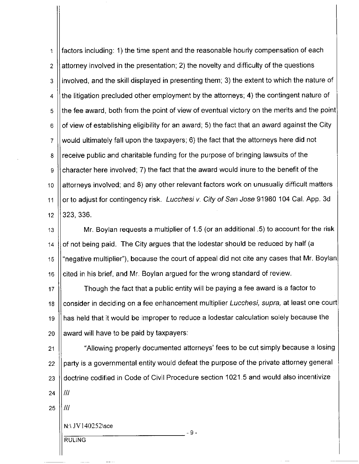factors including: 1) the time spent and the reasonable hourly compensation of each 1 attorney involved in the presentation; 2) the novelty and difficulty of the questions  $\overline{2}$ involved, and the skill displayed in presenting them; 3) the extent to which the nature of 3 the litigation precluded other employment by the attorneys; 4) the contingent nature of  $\overline{4}$ the fee award, both from the point of view of eventual victory on the merits and the point 5 of view of establishing eligibility for an award; 5) the fact that an award against the City 6 would ultimately fall upon the taxpayers; 6) the fact that the attorneys here did not  $\overline{7}$ receive public and charitable funding for the purpose of bringing lawsuits of the 8 character here involved; 7) the fact that the award would inure to the benefit of the 9 attorneys involved; and 8) any other relevant factors work on unusually difficult matters  $10$ or to adjust for contingency risk. Lucchesi v. City of San Jose 91980 104 Cal. App. 3d  $11$ 323, 336.  $12<sup>2</sup>$ 

Mr. Boylan requests a multiplier of 1.5 (or an additional .5) to account for the risk  $13$ of not being paid. The City argues that the lodestar should be reduced by half (a  $14$ "negative multiplier"), because the court of appeal did not cite any cases that Mr. Boylan| 15 cited in his brief, and Mr. Boylan argued for the wrong standard of review. 16

Though the fact that a public entity will be paying a fee award is a factor to  $17$ consider in deciding on a fee enhancement multiplier Lucchesi, supra, at least one court 18 has held that it would be improper to reduce a lodestar calculation solely because the 19 award will have to be paid by taxpayers: 20

"Allowing properly documented attorneys' fees to be cut simply because a losing 21 party is a governmental entity would defeat the purpose of the private attorney general 22 doctrine codified in Code of Civil Procedure section 1021.5 and would also incentivize 23 Ш. 24

- 9 -

Ш 25

N:\ JV140252\sce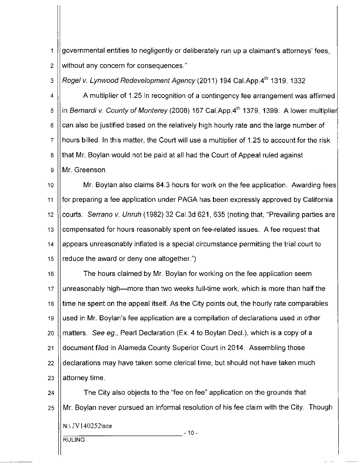governmental entities to negligently or deliberately run up a claimant's attorneys' fees,  $\mathbf{1}$ without any concern for consequences."  $\overline{2}$ 

Rogel v. Lynwood Redevelopment Agency (2011) 194 Cal.App.4th 1319, 1332 3

A multiplier of 1.25 in recognition of a contingency fee arrangement was affirmed 4 in Bernardi v. County of Monterey (2008) 167 Cal.App.4th 1379, 1399. A lower multiplier 5 can also be justified based on the relatively high hourly rate and the large number of 6 hours billed. In this matter, the Court will use a multiplier of 1.25 to account for the risk  $\overline{7}$ that Mr. Boylan would not be paid at all had the Court of Appeal ruled against 8 Mr. Greenson. 9

Mr. Boylan also claims 84.3 hours for work on the fee application. Awarding fees  $10$ for preparing a fee application under PAGA has been expressly approved by California  $11$ courts. Serrano v. Unruh (1982) 32 Cal.3d 621, 635 (noting that, "Prevailing parties are  $12$ compensated for hours reasonably spent on fee-related issues. A fee request that  $13$ appears unreasonably inflated is a special circumstance permitting the trial court to  $14$ reduce the award or deny one altogether.") 15

The hours claimed by Mr. Boylan for working on the fee application seem 16 unreasonably high—more than two weeks full-time work, which is more than half the 17 time he spent on the appeal itself. As the City points out, the hourly rate comparables 18 used in Mr. Boylan's fee application are a compilation of declarations used in other 19 matters. See eg., Pearl Declaration (Ex. 4 to Boylan Decl.), which is a copy of a 20 document filed in Alameda County Superior Court in 2014. Assembling those 21 declarations may have taken some clerical time, but should not have taken much 22 23 attorney time.

The City also objects to the "fee on fee" application on the grounds that 24 Mr. Boylan never pursued an informal resolution of his fee claim with the City. Though 25 N:\ JV140252\sce  $-10-$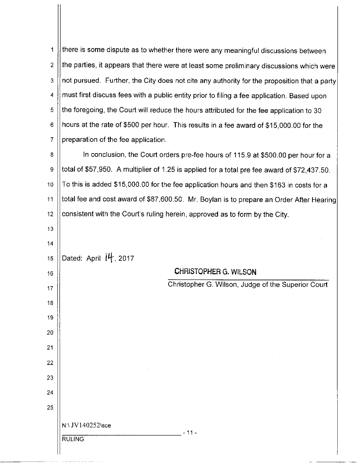there is some dispute as to whether there were any meaningful discussions between  $\blacktriangleleft$ the parties, it appears that there were at least some preliminary discussions which were  $\overline{2}$ not pursued. Further, the City does not cite any authority for the proposition that a party 3 must first discuss fees with a public entity prior to filing a fee application. Based upon  $\overline{4}$ 5 the foregoing, the Court will reduce the hours attributed for the fee application to 30 hours at the rate of \$500 per hour. This results in a fee award of \$15,000.00 for the 6  $\overline{7}$ preparation of the fee application.

8 In conclusion, the Court orders pre-fee hours of 115.9 at \$500.00 per hour for a total of \$57,950. A multiplier of 1.25 is applied for a total pre fee award of \$72,437.50. 9 To this is added \$15,000.00 for the fee application hours and then \$163 in costs for a  $10$ total fee and cost award of \$87,600.50. Mr. Boylan is to prepare an Order After Hearing  $11$ consistent with the Court's ruling herein, approved as to form by the City.  $12$ 

 $13<sup>°</sup>$  $14$ Dated: April 14, 2017

15

16

17

18

19

20

 $21$ 

22

23

24

25

CHRISTOPHER G. WILSON

Christopher G. Wilson, Judge of the Superior Court

N:\ JV140252\sce **RULING** 

- 11 -